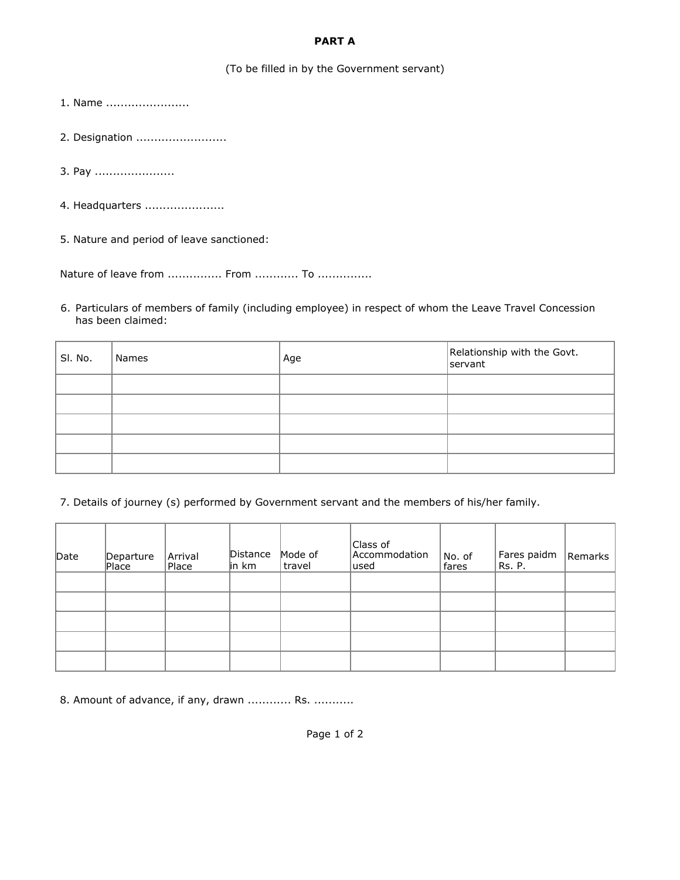## **PART A**

## (To be filled in by the Government servant)

1. Name .......................

- 2. Designation ..........................
- 3. Pay .......................
- 4. Headquarters ......................

5. Nature and period of leave sanctioned:

Nature of leave from ............... From ............. To ................

6. Particulars of members of family (including employee) in respect of whom the Leave Travel Concession has been claimed:

| SI. No. | Names | Age | Relationship with the Govt.<br>servant |
|---------|-------|-----|----------------------------------------|
|         |       |     |                                        |
|         |       |     |                                        |
|         |       |     |                                        |
|         |       |     |                                        |
|         |       |     |                                        |

7. Details of journey (s) performed by Government servant and the members of his/her family.

| Date | Departure<br>Place | Arrival<br>Place | Distance<br>in km | Mode of<br>travel | Class of<br>Accommodation<br> used | No. of<br>fares | Fares paidm<br>Rs. P. | Remarks |
|------|--------------------|------------------|-------------------|-------------------|------------------------------------|-----------------|-----------------------|---------|
|      |                    |                  |                   |                   |                                    |                 |                       |         |
|      |                    |                  |                   |                   |                                    |                 |                       |         |
|      |                    |                  |                   |                   |                                    |                 |                       |         |
|      |                    |                  |                   |                   |                                    |                 |                       |         |
|      |                    |                  |                   |                   |                                    |                 |                       |         |

8. Amount of advance, if any, drawn ............ Rs. ...........